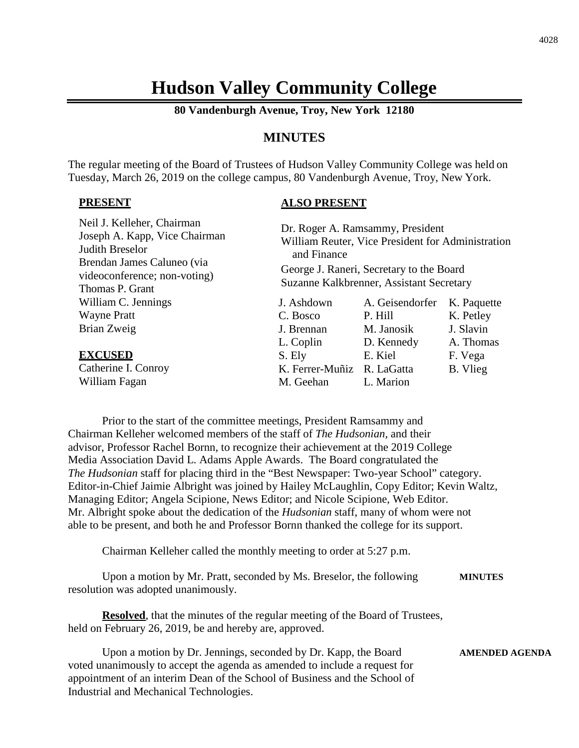# **Hudson Valley Community College**

**80 Vandenburgh Avenue, Troy, New York 12180**

## **MINUTES**

The regular meeting of the Board of Trustees of Hudson Valley Community College was held on Tuesday, March 26, 2019 on the college campus, 80 Vandenburgh Avenue, Troy, New York.

## **PRESENT**

## **ALSO PRESENT**

| Dr. Roger A. Ramsammy, President<br>William Reuter, Vice President for Administration<br>and Finance<br>George J. Raneri, Secretary to the Board<br>Suzanne Kalkbrenner, Assistant Secretary |                 |             |
|----------------------------------------------------------------------------------------------------------------------------------------------------------------------------------------------|-----------------|-------------|
| J. Ashdown                                                                                                                                                                                   | A. Geisendorfer | K. Paquette |
| C. Bosco                                                                                                                                                                                     | P. Hill         | K. Petley   |
| J. Brennan                                                                                                                                                                                   | M. Janosik      | J. Slavin   |
| L. Coplin                                                                                                                                                                                    | D. Kennedy      | A. Thomas   |
| S. Ely                                                                                                                                                                                       | E. Kiel         | F. Vega     |
| K. Ferrer-Muñiz                                                                                                                                                                              | R. LaGatta      | B. Vlieg    |
| M. Geehan                                                                                                                                                                                    | L. Marion       |             |
|                                                                                                                                                                                              |                 |             |

Prior to the start of the committee meetings, President Ramsammy and Chairman Kelleher welcomed members of the staff of *The Hudsonian*, and their advisor, Professor Rachel Bornn, to recognize their achievement at the 2019 College Media Association David L. Adams Apple Awards. The Board congratulated the *The Hudsonian* staff for placing third in the "Best Newspaper: Two-year School" category. Editor-in-Chief Jaimie Albright was joined by Hailey McLaughlin, Copy Editor; Kevin Waltz, Managing Editor; Angela Scipione, News Editor; and Nicole Scipione, Web Editor. Mr. Albright spoke about the dedication of the *Hudsonian* staff, many of whom were not able to be present, and both he and Professor Bornn thanked the college for its support.

Chairman Kelleher called the monthly meeting to order at 5:27 p.m.

Upon a motion by Mr. Pratt, seconded by Ms. Breselor, the following **MINUTES** resolution was adopted unanimously.

**Resolved**, that the minutes of the regular meeting of the Board of Trustees, held on February 26, 2019, be and hereby are, approved.

Upon a motion by Dr. Jennings, seconded by Dr. Kapp, the Board **AMENDED AGENDA** voted unanimously to accept the agenda as amended to include a request for appointment of an interim Dean of the School of Business and the School of Industrial and Mechanical Technologies.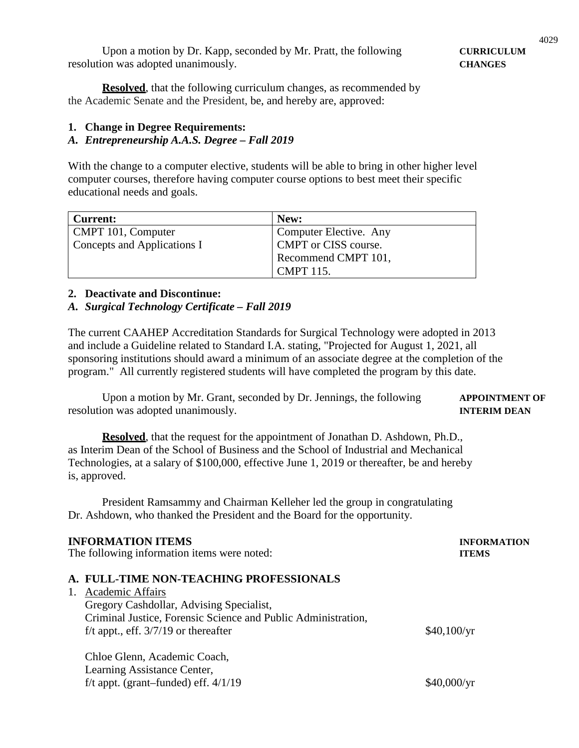Upon a motion by Dr. Kapp, seconded by Mr. Pratt, the following **CURRICULUM** resolution was adopted unanimously. **CHANGES**

**Resolved**, that the following curriculum changes, as recommended by the Academic Senate and the President, be, and hereby are, approved:

#### **1. Change in Degree Requirements:**

## *A. Entrepreneurship A.A.S. Degree – Fall 2019*

With the change to a computer elective, students will be able to bring in other higher level computer courses, therefore having computer course options to best meet their specific educational needs and goals.

| <b>Current:</b>             | New:                   |
|-----------------------------|------------------------|
| CMPT 101, Computer          | Computer Elective. Any |
| Concepts and Applications I | CMPT or CISS course.   |
|                             | Recommend CMPT 101,    |
|                             | <b>CMPT</b> 115.       |

## **2. Deactivate and Discontinue:**

### *A. Surgical Technology Certificate – Fall 2019*

The current CAAHEP Accreditation Standards for Surgical Technology were adopted in 2013 and include a Guideline related to Standard I.A. stating, "Projected for August 1, 2021, all sponsoring institutions should award a minimum of an associate degree at the completion of the program." All currently registered students will have completed the program by this date.

Upon a motion by Mr. Grant, seconded by Dr. Jennings, the following **APPOINTMENT OF** resolution was adopted unanimously. **INTERIM DEAN**

**Resolved**, that the request for the appointment of Jonathan D. Ashdown, Ph.D., as Interim Dean of the School of Business and the School of Industrial and Mechanical Technologies, at a salary of \$100,000, effective June 1, 2019 or thereafter, be and hereby is, approved.

President Ramsammy and Chairman Kelleher led the group in congratulating Dr. Ashdown, who thanked the President and the Board for the opportunity.

#### **INFORMATION ITEMS INFORMATION**

The following information items were noted: **ITEMS**

## **A. FULL-TIME NON-TEACHING PROFESSIONALS**

| 1. Academic Affairs                                           |             |
|---------------------------------------------------------------|-------------|
| Gregory Cashdollar, Advising Specialist,                      |             |
| Criminal Justice, Forensic Science and Public Administration, |             |
| f/t appt., eff. $3/7/19$ or thereafter                        | \$40,100/yr |
|                                                               |             |

Chloe Glenn, Academic Coach, Learning Assistance Center, f/t appt. (grant–funded) eff.  $4/1/19$  \$40,000/yr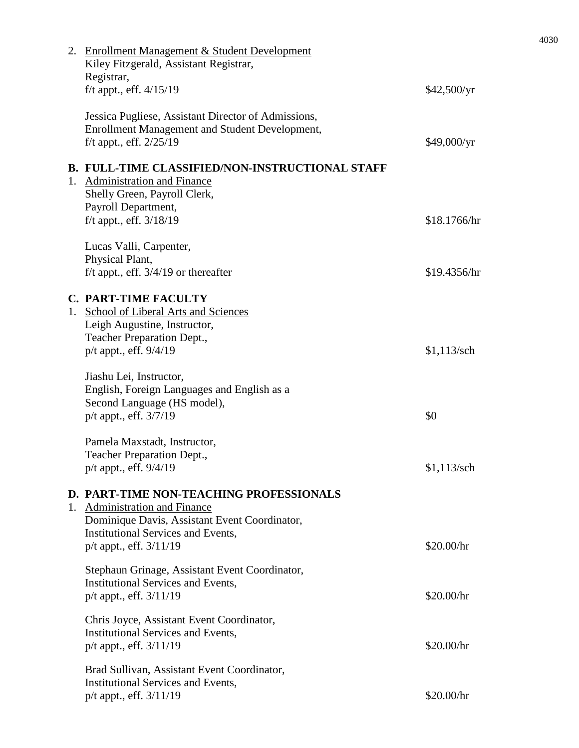|  | 2. Enrollment Management & Student Development<br>Kiley Fitzgerald, Assistant Registrar,<br>Registrar,                               |               |
|--|--------------------------------------------------------------------------------------------------------------------------------------|---------------|
|  | f/t appt., eff. 4/15/19                                                                                                              | \$42,500/yr   |
|  | Jessica Pugliese, Assistant Director of Admissions,<br>Enrollment Management and Student Development,<br>$f/t$ appt., eff. $2/25/19$ | \$49,000/yr   |
|  |                                                                                                                                      |               |
|  | <b>B. FULL-TIME CLASSIFIED/NON-INSTRUCTIONAL STAFF</b><br>1. Administration and Finance<br>Shelly Green, Payroll Clerk,              |               |
|  | Payroll Department,<br>f/t appt., eff. 3/18/19                                                                                       | \$18.1766/hr  |
|  | Lucas Valli, Carpenter,<br>Physical Plant,<br>f/t appt., eff. $3/4/19$ or thereafter                                                 | \$19.4356/hr  |
|  | <b>C. PART-TIME FACULTY</b>                                                                                                          |               |
|  | 1. School of Liberal Arts and Sciences<br>Leigh Augustine, Instructor,<br>Teacher Preparation Dept.,                                 |               |
|  | p/t appt., eff. 9/4/19                                                                                                               | $$1,113$ /sch |
|  | Jiashu Lei, Instructor,<br>English, Foreign Languages and English as a<br>Second Language (HS model),                                |               |
|  | p/t appt., eff. 3/7/19                                                                                                               | \$0           |
|  | Pamela Maxstadt, Instructor,                                                                                                         |               |
|  | Teacher Preparation Dept.,<br>p/t appt., eff. 9/4/19                                                                                 | $$1,113$ /sch |
|  | D. PART-TIME NON-TEACHING PROFESSIONALS<br>1. Administration and Finance<br>Dominique Davis, Assistant Event Coordinator,            |               |
|  | Institutional Services and Events,<br>p/t appt., eff. 3/11/19                                                                        | \$20.00/hr    |
|  | Stephaun Grinage, Assistant Event Coordinator,<br>Institutional Services and Events,                                                 |               |
|  | p/t appt., eff. 3/11/19                                                                                                              | \$20.00/hr    |
|  | Chris Joyce, Assistant Event Coordinator,<br>Institutional Services and Events,<br>p/t appt., eff. 3/11/19                           | \$20.00/hr    |
|  | Brad Sullivan, Assistant Event Coordinator,<br>Institutional Services and Events,                                                    |               |
|  | p/t appt., eff. 3/11/19                                                                                                              | \$20.00/hr    |